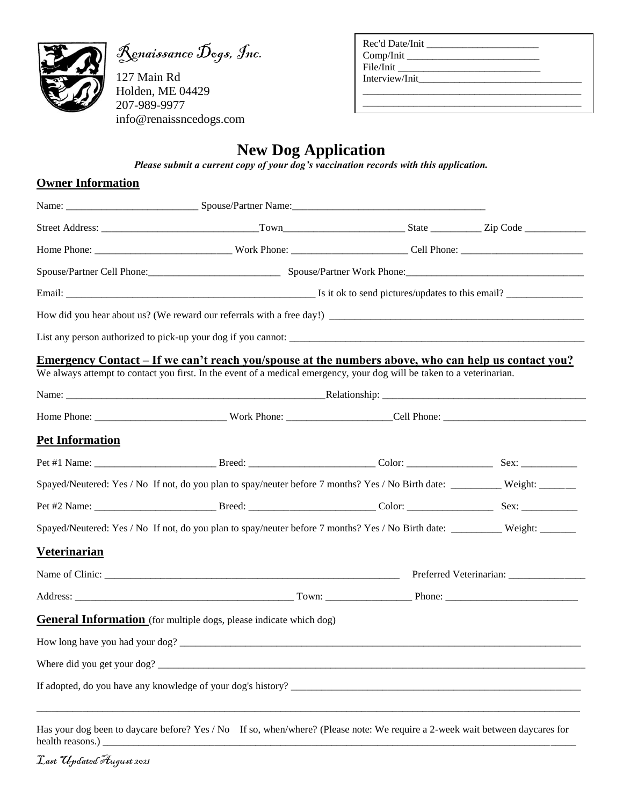

Renaissance Dogs, Inc.

127 Main Rd Holden, ME 04429 207-989-9977 info@renaissncedogs.com

| Rec'd Date/Init |  |
|-----------------|--|
|                 |  |
| File/Init       |  |
| Interview/Init  |  |
|                 |  |
|                 |  |

 $\overline{\phantom{a}}$  , where  $\overline{\phantom{a}}$ 

## **New Dog Application**

*Please submit a current copy of your dog's vaccination records with this application.*

## **Owner Information**

|                        | Spouse/Partner Cell Phone: Communication Spouse/Partner Work Phone: Communication Cell Phone:                                |  |  |  |
|------------------------|------------------------------------------------------------------------------------------------------------------------------|--|--|--|
|                        |                                                                                                                              |  |  |  |
|                        |                                                                                                                              |  |  |  |
|                        |                                                                                                                              |  |  |  |
|                        | <u>Emergency Contact – If we can't reach you/spouse at the numbers above, who can help us contact you?</u>                   |  |  |  |
|                        | We always attempt to contact you first. In the event of a medical emergency, your dog will be taken to a veterinarian.       |  |  |  |
|                        |                                                                                                                              |  |  |  |
|                        |                                                                                                                              |  |  |  |
| <b>Pet Information</b> |                                                                                                                              |  |  |  |
|                        |                                                                                                                              |  |  |  |
|                        | Spayed/Neutered: Yes / No If not, do you plan to spay/neuter before 7 months? Yes / No Birth date: Weight: Weight:           |  |  |  |
|                        |                                                                                                                              |  |  |  |
|                        | Spayed/Neutered: Yes / No If not, do you plan to spay/neuter before 7 months? Yes / No Birth date: _________ Weight: _______ |  |  |  |
| Veterinarian           |                                                                                                                              |  |  |  |
|                        |                                                                                                                              |  |  |  |
|                        |                                                                                                                              |  |  |  |
|                        | General Information (for multiple dogs, please indicate which dog)                                                           |  |  |  |
|                        |                                                                                                                              |  |  |  |
|                        |                                                                                                                              |  |  |  |
|                        |                                                                                                                              |  |  |  |

Has your dog been to daycare before? Yes / No If so, when/where? (Please note: We require a 2-week wait between daycares for health reasons.) \_\_\_\_\_\_\_\_\_\_\_\_\_\_\_\_\_\_\_\_\_\_\_\_\_\_\_\_\_\_\_\_\_\_\_\_\_\_\_\_\_\_\_\_\_\_\_\_\_\_\_\_\_\_\_\_\_\_\_\_\_\_\_\_\_\_\_\_\_\_\_\_\_\_\_\_\_\_\_\_\_\_\_\_\_\_\_\_\_\_\_\_\_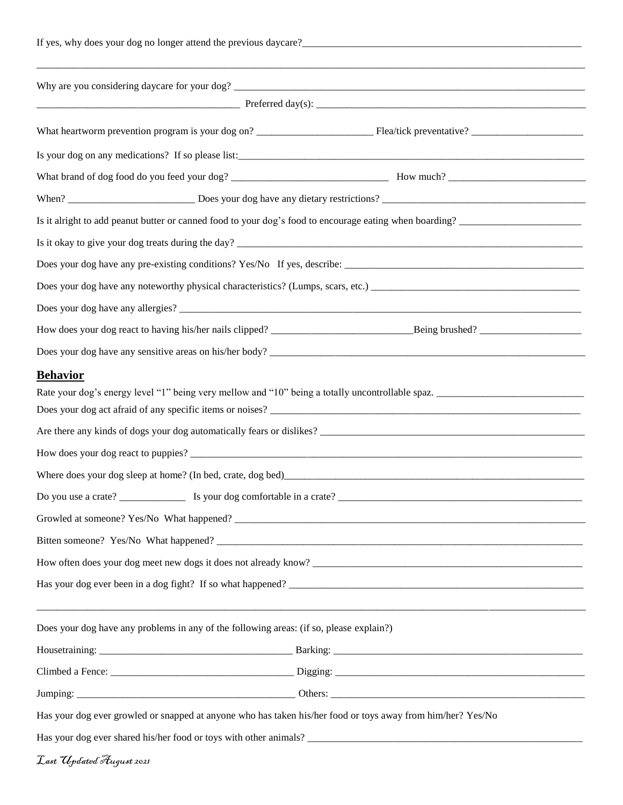|                          |                                                                                         | Is your dog on any medications? If so please list:<br><u>Letter and the contract of the contract of the contract of the contract of the contract of the contract of the contract of the contract of the contract of the contract o</u> |  |  |  |
|--------------------------|-----------------------------------------------------------------------------------------|----------------------------------------------------------------------------------------------------------------------------------------------------------------------------------------------------------------------------------------|--|--|--|
|                          |                                                                                         |                                                                                                                                                                                                                                        |  |  |  |
|                          |                                                                                         |                                                                                                                                                                                                                                        |  |  |  |
|                          |                                                                                         | Is it alright to add peanut butter or canned food to your dog's food to encourage eating when boarding?                                                                                                                                |  |  |  |
|                          |                                                                                         |                                                                                                                                                                                                                                        |  |  |  |
|                          |                                                                                         |                                                                                                                                                                                                                                        |  |  |  |
|                          |                                                                                         |                                                                                                                                                                                                                                        |  |  |  |
|                          |                                                                                         |                                                                                                                                                                                                                                        |  |  |  |
|                          |                                                                                         |                                                                                                                                                                                                                                        |  |  |  |
|                          |                                                                                         |                                                                                                                                                                                                                                        |  |  |  |
| <b>Behavior</b>          |                                                                                         | Has your dog ever been in a dog fight? If so what happened?                                                                                                                                                                            |  |  |  |
|                          |                                                                                         | <u> 2000 - 2000 - 2000 - 2000 - 2000 - 2000 - 2000 - 2000 - 2000 - 2000 - 2000 - 2000 - 2000 - 2000 - 2000 - 200</u>                                                                                                                   |  |  |  |
|                          | Does your dog have any problems in any of the following areas: (if so, please explain?) |                                                                                                                                                                                                                                        |  |  |  |
|                          |                                                                                         |                                                                                                                                                                                                                                        |  |  |  |
|                          |                                                                                         |                                                                                                                                                                                                                                        |  |  |  |
|                          |                                                                                         |                                                                                                                                                                                                                                        |  |  |  |
|                          |                                                                                         | Has your dog ever growled or snapped at anyone who has taken his/her food or toys away from him/her? Yes/No                                                                                                                            |  |  |  |
|                          |                                                                                         |                                                                                                                                                                                                                                        |  |  |  |
| Last Updated August 2021 |                                                                                         |                                                                                                                                                                                                                                        |  |  |  |